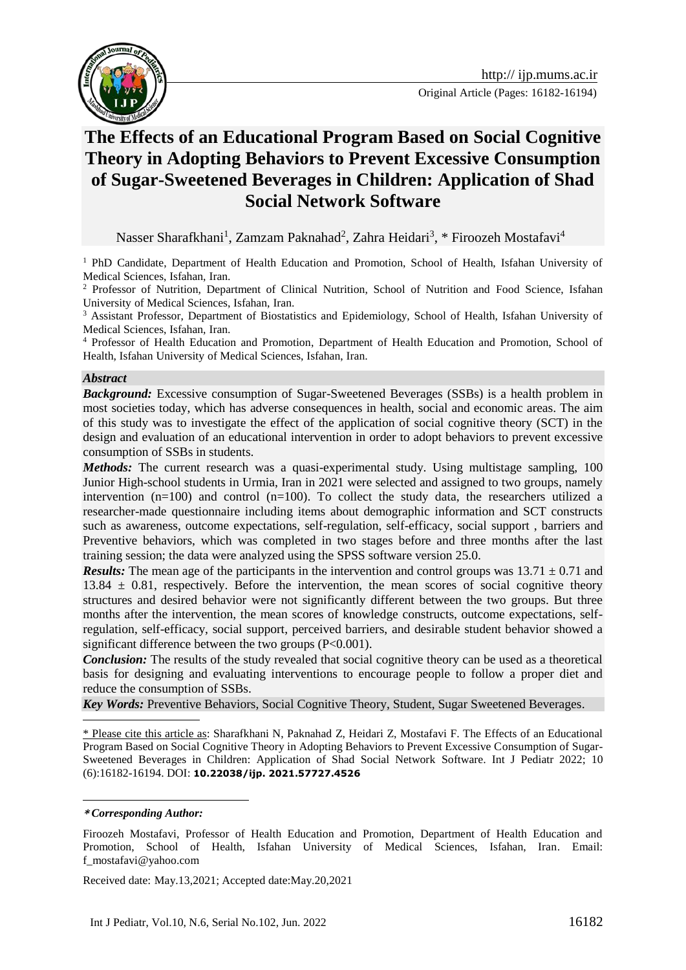



# **The Effects of an Educational Program Based on Social Cognitive Theory in Adopting Behaviors to Prevent Excessive Consumption of Sugar-Sweetened Beverages in Children: Application of Shad Social Network Software**

Nasser Sharafkhani<sup>1</sup>, Zamzam Paknahad<sup>2</sup>, Zahra Heidari<sup>3</sup>, \* Firoozeh Mostafavi<sup>4</sup>

<sup>1</sup> PhD Candidate, Department of Health Education and Promotion, School of Health, Isfahan University of Medical Sciences, Isfahan, Iran.

<sup>2</sup> Professor of Nutrition, Department of Clinical Nutrition, School of Nutrition and Food Science, Isfahan University of Medical Sciences, Isfahan, Iran.

<sup>3</sup> Assistant Professor, Department of Biostatistics and Epidemiology, School of Health, Isfahan University of Medical Sciences, Isfahan, Iran.

<sup>4</sup> Professor of Health Education and Promotion, Department of Health Education and Promotion, School of Health, Isfahan University of Medical Sciences, Isfahan, Iran.

#### *Abstract*

*Background:* Excessive consumption of Sugar-Sweetened Beverages (SSBs) is a health problem in most societies today, which has adverse consequences in health, social and economic areas. The aim of this study was to investigate the effect of the application of social cognitive theory (SCT) in the design and evaluation of an educational intervention in order to adopt behaviors to prevent excessive consumption of SSBs in students.

*Methods:* The current research was a quasi-experimental study. Using multistage sampling, 100 Junior High-school students in Urmia, Iran in 2021 were selected and assigned to two groups, namely intervention (n=100) and control (n=100). To collect the study data, the researchers utilized a researcher-made questionnaire including items about demographic information and SCT constructs such as awareness, outcome expectations, self-regulation, self-efficacy, social support , barriers and Preventive behaviors, which was completed in two stages before and three months after the last training session; the data were analyzed using the SPSS software version 25.0.

*Results:* The mean age of the participants in the intervention and control groups was  $13.71 \pm 0.71$  and  $13.84 \pm 0.81$ , respectively. Before the intervention, the mean scores of social cognitive theory structures and desired behavior were not significantly different between the two groups. But three months after the intervention, the mean scores of knowledge constructs, outcome expectations, selfregulation, self-efficacy, social support, perceived barriers, and desirable student behavior showed a significant difference between the two groups  $(P<0.001)$ .

*Conclusion:* The results of the study revealed that social cognitive theory can be used as a theoretical basis for designing and evaluating interventions to encourage people to follow a proper diet and reduce the consumption of SSBs.

*Key Words:* Preventive Behaviors, Social Cognitive Theory, Student, Sugar Sweetened Beverages.

\* Please cite this article as: Sharafkhani N, Paknahad Z, Heidari Z, Mostafavi F. The Effects of an Educational Program Based on Social Cognitive Theory in Adopting Behaviors to Prevent Excessive Consumption of Sugar-Sweetened Beverages in Children: Application of Shad Social Network Software. Int J Pediatr 2022; 10 (6):16182-16194. DOI: **10.22038/ijp. 2021.57727.4526**

<u>.</u>

Received date: May.13,2021; Accepted date:May.20,2021

**<sup>\*</sup>** *Corresponding Author:*

Firoozeh Mostafavi, Professor of Health Education and Promotion, Department of Health Education and Promotion, School of Health, Isfahan University of Medical Sciences, Isfahan, Iran. Email: f\_mostafavi@yahoo.com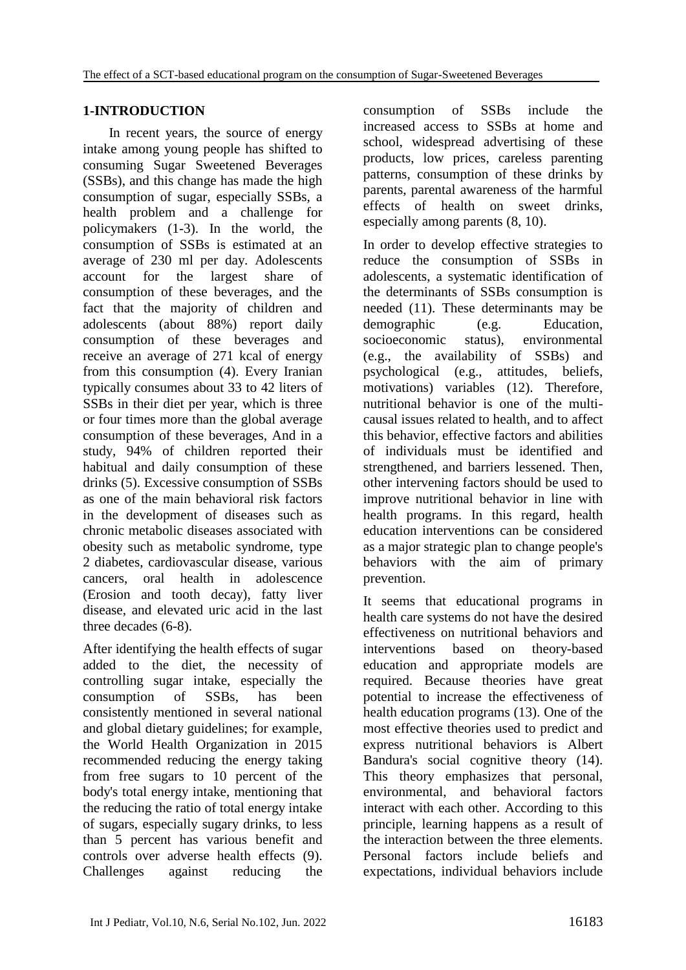## **1-INTRODUCTION**

In recent years, the source of energy intake among young people has shifted to consuming Sugar Sweetened Beverages (SSBs), and this change has made the high consumption of sugar, especially SSBs, a health problem and a challenge for policymakers (1-3). In the world, the consumption of SSBs is estimated at an average of 230 ml per day. Adolescents account for the largest share of consumption of these beverages, and the fact that the majority of children and adolescents (about 88%) report daily consumption of these beverages and receive an average of 271 kcal of energy from this consumption (4). Every Iranian typically consumes about 33 to 42 liters of SSBs in their diet per year, which is three or four times more than the global average consumption of these beverages, And in a study, 94% of children reported their habitual and daily consumption of these drinks (5). Excessive consumption of SSBs as one of the main behavioral risk factors in the development of diseases such as chronic metabolic diseases associated with obesity such as metabolic syndrome, type 2 diabetes, cardiovascular disease, various cancers, oral health in adolescence (Erosion and tooth decay), fatty liver disease, and elevated uric acid in the last three decades (6-8).

After identifying the health effects of sugar added to the diet, the necessity of controlling sugar intake, especially the consumption of SSBs, has been consistently mentioned in several national and global dietary guidelines; for example, the World Health Organization in 2015 recommended reducing the energy taking from free sugars to 10 percent of the body's total energy intake, mentioning that the reducing the ratio of total energy intake of sugars, especially sugary drinks, to less than 5 percent has various benefit and controls over adverse health effects (9). Challenges against reducing the

consumption of SSBs include the increased access to SSBs at home and school, widespread advertising of these products, low prices, careless parenting patterns, consumption of these drinks by parents, parental awareness of the harmful effects of health on sweet drinks, especially among parents (8, 10).

In order to develop effective strategies to reduce the consumption of SSBs in adolescents, a systematic identification of the determinants of SSBs consumption is needed (11). These determinants may be demographic (e.g. Education, socioeconomic status), environmental (e.g., the availability of SSBs) and psychological (e.g., attitudes, beliefs, motivations) variables (12). Therefore, nutritional behavior is one of the multicausal issues related to health, and to affect this behavior, effective factors and abilities of individuals must be identified and strengthened, and barriers lessened. Then, other intervening factors should be used to improve nutritional behavior in line with health programs. In this regard, health education interventions can be considered as a major strategic plan to change people's behaviors with the aim of primary prevention.

It seems that educational programs in health care systems do not have the desired effectiveness on nutritional behaviors and interventions based on theory-based education and appropriate models are required. Because theories have great potential to increase the effectiveness of health education programs (13). One of the most effective theories used to predict and express nutritional behaviors is Albert Bandura's social cognitive theory (14). This theory emphasizes that personal, environmental, and behavioral factors interact with each other. According to this principle, learning happens as a result of the interaction between the three elements. Personal factors include beliefs and expectations, individual behaviors include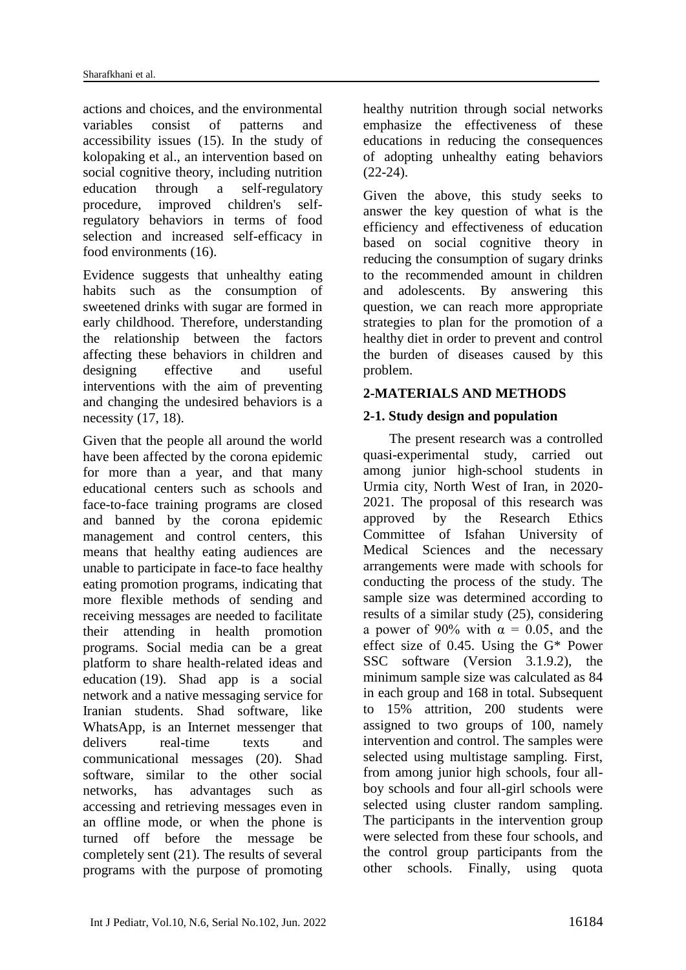actions and choices, and the environmental variables consist of patterns and accessibility issues (15). In the study of kolopaking et al., an intervention based on social cognitive theory, including nutrition education through a self-regulatory procedure, improved children's selfregulatory behaviors in terms of food selection and increased self-efficacy in food environments (16).

Evidence suggests that unhealthy eating habits such as the consumption of sweetened drinks with sugar are formed in early childhood. Therefore, understanding the relationship between the factors affecting these behaviors in children and designing effective and useful interventions with the aim of preventing and changing the undesired behaviors is a necessity (17, 18).

Given that the people all around the world have been affected by the corona epidemic for more than a year, and that many educational centers such as schools and face-to-face training programs are closed and banned by the corona epidemic management and control centers, this means that healthy eating audiences are unable to participate in face-to face healthy eating promotion programs, indicating that more flexible methods of sending and receiving messages are needed to facilitate their attending in health promotion programs. Social media can be a great platform to share health-related ideas and education (19). Shad app is a social network and a native messaging service for Iranian students. Shad software, like WhatsApp, is an Internet messenger that delivers real-time texts and communicational messages (20). Shad software, similar to the other social networks, has advantages such as accessing and retrieving messages even in an offline mode, or when the phone is turned off before the message be completely sent (21). The results of several programs with the purpose of promoting

healthy nutrition through social networks emphasize the effectiveness of these educations in reducing the consequences of adopting unhealthy eating behaviors  $(22-24)$ .

Given the above, this study seeks to answer the key question of what is the efficiency and effectiveness of education based on social cognitive theory in reducing the consumption of sugary drinks to the recommended amount in children and adolescents. By answering this question, we can reach more appropriate strategies to plan for the promotion of a healthy diet in order to prevent and control the burden of diseases caused by this problem.

## **2-MATERIALS AND METHODS**

## **2-1. Study design and population**

The present research was a controlled quasi-experimental study, carried out among junior high-school students in Urmia city, North West of Iran, in 2020- 2021. The proposal of this research was approved by the Research Ethics Committee of Isfahan University of Medical Sciences and the necessary arrangements were made with schools for conducting the process of the study. The sample size was determined according to results of a similar study (25), considering a power of 90% with  $\alpha = 0.05$ , and the effect size of 0.45. Using the G\* Power SSC software (Version 3.1.9.2), the minimum sample size was calculated as 84 in each group and 168 in total. Subsequent to 15% attrition, 200 students were assigned to two groups of 100, namely intervention and control. The samples were selected using multistage sampling. First, from among junior high schools, four allboy schools and four all-girl schools were selected using cluster random sampling. The participants in the intervention group were selected from these four schools, and the control group participants from the other schools. Finally, using quota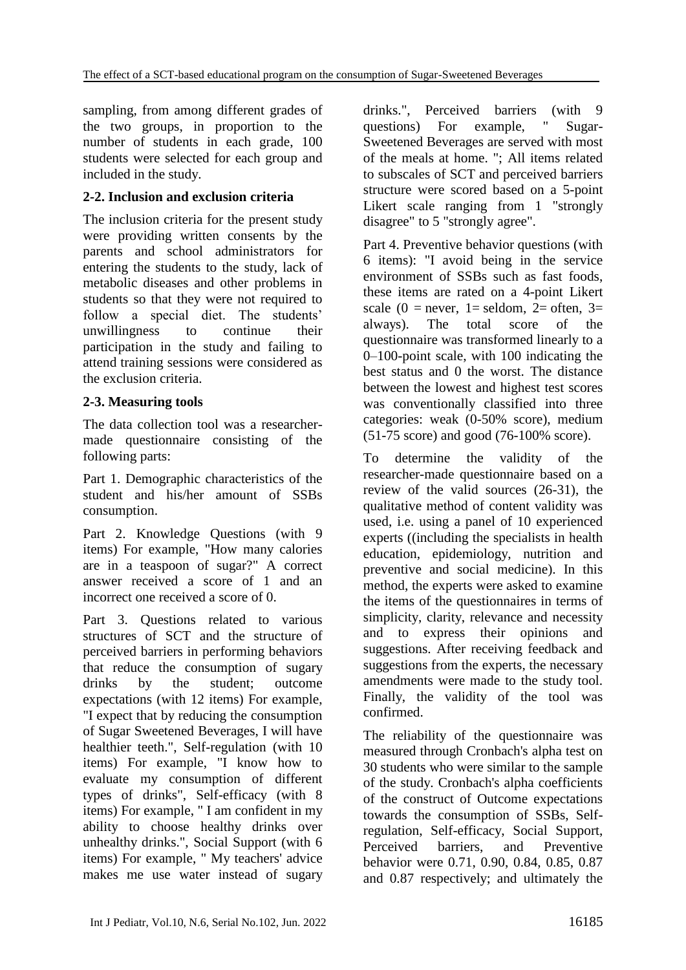sampling, from among different grades of the two groups, in proportion to the number of students in each grade, 100 students were selected for each group and included in the study.

## **2-2. Inclusion and exclusion criteria**

The inclusion criteria for the present study were providing written consents by the parents and school administrators for entering the students to the study, lack of metabolic diseases and other problems in students so that they were not required to follow a special diet. The students' unwillingness to continue their participation in the study and failing to attend training sessions were considered as the exclusion criteria.

## **2-3. Measuring tools**

The data collection tool was a researchermade questionnaire consisting of the following parts:

Part 1. Demographic characteristics of the student and his/her amount of SSBs consumption.

Part 2. Knowledge Questions (with 9 items) For example, "How many calories are in a teaspoon of sugar?" A correct answer received a score of 1 and an incorrect one received a score of 0.

Part 3. Questions related to various structures of SCT and the structure of perceived barriers in performing behaviors that reduce the consumption of sugary drinks by the student; outcome expectations (with 12 items) For example, "I expect that by reducing the consumption of Sugar Sweetened Beverages, I will have healthier teeth.", Self-regulation (with 10 items) For example, "I know how to evaluate my consumption of different types of drinks", Self-efficacy (with 8 items) For example, " I am confident in my ability to choose healthy drinks over unhealthy drinks.", Social Support (with 6 items) For example, " My teachers' advice makes me use water instead of sugary drinks.", Perceived barriers (with 9 questions) For example, " Sugar-Sweetened Beverages are served with most of the meals at home. "; All items related to subscales of SCT and perceived barriers structure were scored based on a 5-point Likert scale ranging from 1 "strongly disagree" to 5 "strongly agree".

Part 4. Preventive behavior questions (with 6 items): "I avoid being in the service environment of SSBs such as fast foods, these items are rated on a 4-point Likert scale (0 = never, 1 = seldom, 2 = often, 3 = always). The total score of the questionnaire was transformed linearly to a 0–100-point scale, with 100 indicating the best status and 0 the worst. The distance between the lowest and highest test scores was conventionally classified into three categories: weak (0-50% score), medium (51-75 score) and good (76-100% score).

To determine the validity of the researcher-made questionnaire based on a review of the valid sources (26-31), the qualitative method of content validity was used, i.e. using a panel of 10 experienced experts ((including the specialists in health education, epidemiology, nutrition and preventive and social medicine). In this method, the experts were asked to examine the items of the questionnaires in terms of simplicity, clarity, relevance and necessity and to express their opinions and suggestions. After receiving feedback and suggestions from the experts, the necessary amendments were made to the study tool. Finally, the validity of the tool was confirmed.

The reliability of the questionnaire was measured through Cronbach's alpha test on 30 students who were similar to the sample of the study. Cronbach's alpha coefficients of the construct of Outcome expectations towards the consumption of SSBs, Selfregulation, Self-efficacy, Social Support, Perceived barriers, and Preventive behavior were 0.71, 0.90, 0.84, 0.85, 0.87 and 0.87 respectively; and ultimately the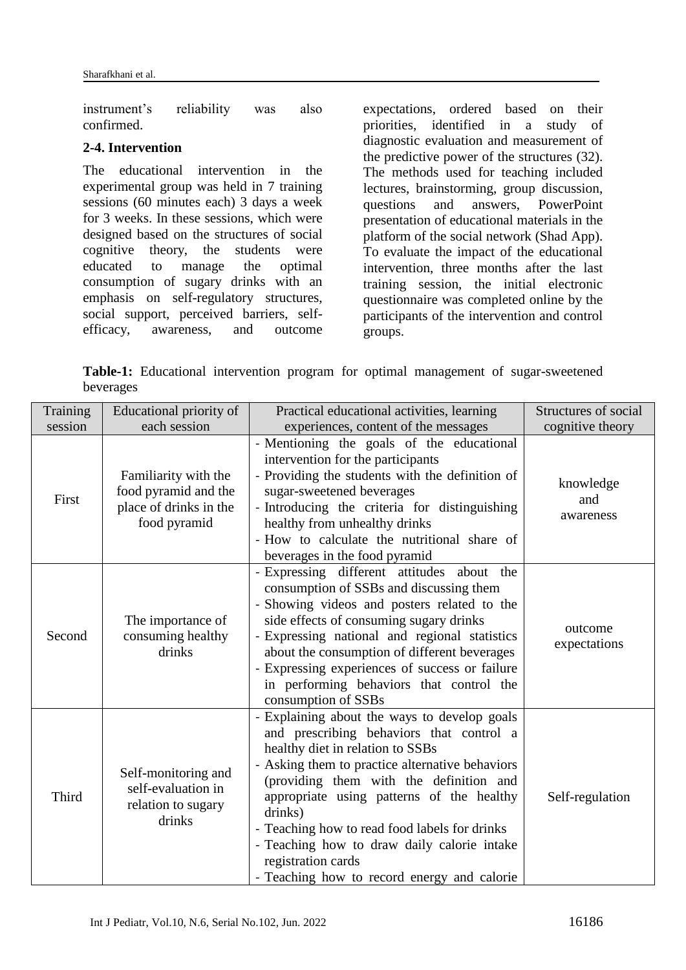instrument's reliability was also confirmed.

### **2-4. Intervention**

The educational intervention in the experimental group was held in 7 training sessions (60 minutes each) 3 days a week for 3 weeks. In these sessions, which were designed based on the structures of social cognitive theory, the students were educated to manage the optimal consumption of sugary drinks with an emphasis on self-regulatory structures, social support, perceived barriers, selfefficacy, awareness, and outcome

expectations, ordered based on their priorities, identified in a study of diagnostic evaluation and measurement of the predictive power of the structures (32). The methods used for teaching included lectures, brainstorming, group discussion, questions and answers, PowerPoint presentation of educational materials in the platform of the social network (Shad App). To evaluate the impact of the educational intervention, three months after the last training session, the initial electronic questionnaire was completed online by the participants of the intervention and control groups.

**Table-1:** Educational intervention program for optimal management of sugar-sweetened beverages

| Training | Educational priority of                                                                | Practical educational activities, learning                                                                                                                                                                                                                                                                                                                                                                                                              | <b>Structures of social</b>   |
|----------|----------------------------------------------------------------------------------------|---------------------------------------------------------------------------------------------------------------------------------------------------------------------------------------------------------------------------------------------------------------------------------------------------------------------------------------------------------------------------------------------------------------------------------------------------------|-------------------------------|
| session  | each session                                                                           | experiences, content of the messages                                                                                                                                                                                                                                                                                                                                                                                                                    | cognitive theory              |
| First    | Familiarity with the<br>food pyramid and the<br>place of drinks in the<br>food pyramid | - Mentioning the goals of the educational<br>intervention for the participants<br>- Providing the students with the definition of<br>sugar-sweetened beverages<br>- Introducing the criteria for distinguishing<br>healthy from unhealthy drinks<br>- How to calculate the nutritional share of<br>beverages in the food pyramid                                                                                                                        | knowledge<br>and<br>awareness |
| Second   | The importance of<br>consuming healthy<br>drinks                                       | - Expressing different attitudes about the<br>consumption of SSBs and discussing them<br>- Showing videos and posters related to the<br>side effects of consuming sugary drinks<br>- Expressing national and regional statistics<br>about the consumption of different beverages<br>- Expressing experiences of success or failure<br>in performing behaviors that control the<br>consumption of SSBs                                                   | outcome<br>expectations       |
| Third    | Self-monitoring and<br>self-evaluation in<br>relation to sugary<br>drinks              | - Explaining about the ways to develop goals<br>and prescribing behaviors that control a<br>healthy diet in relation to SSBs<br>- Asking them to practice alternative behaviors<br>(providing them with the definition and<br>appropriate using patterns of the healthy<br>drinks)<br>- Teaching how to read food labels for drinks<br>- Teaching how to draw daily calorie intake<br>registration cards<br>- Teaching how to record energy and calorie | Self-regulation               |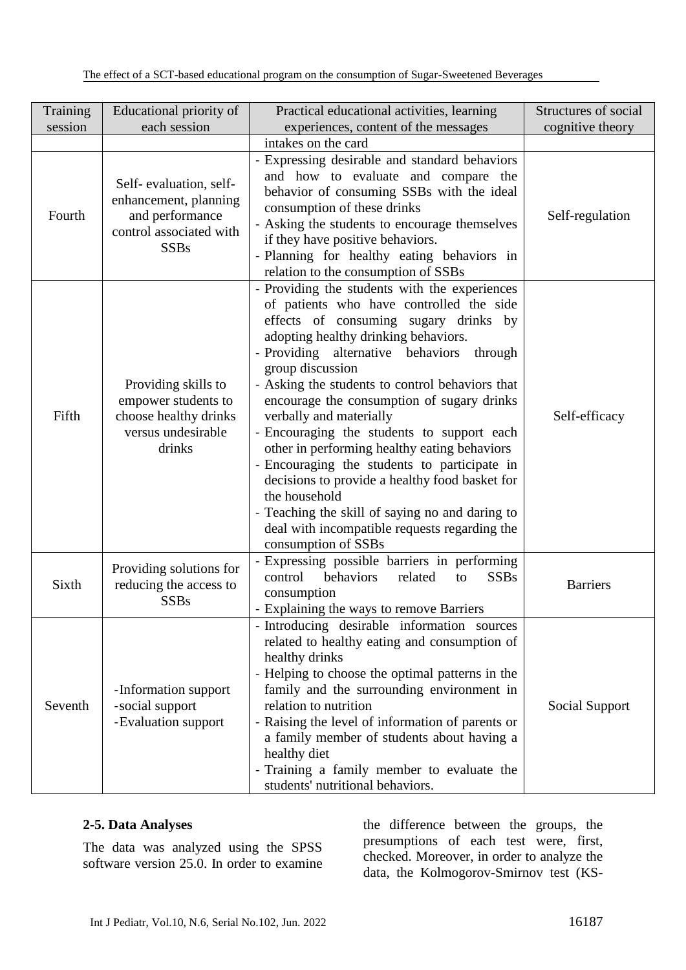| Training | Educational priority of                                                                                      | Practical educational activities, learning                                                                                                                                                                                                                                                                                                                                                                                                                                                                                                                                                                                                                                                                             | Structures of social |
|----------|--------------------------------------------------------------------------------------------------------------|------------------------------------------------------------------------------------------------------------------------------------------------------------------------------------------------------------------------------------------------------------------------------------------------------------------------------------------------------------------------------------------------------------------------------------------------------------------------------------------------------------------------------------------------------------------------------------------------------------------------------------------------------------------------------------------------------------------------|----------------------|
| session  | each session                                                                                                 | experiences, content of the messages<br>intakes on the card                                                                                                                                                                                                                                                                                                                                                                                                                                                                                                                                                                                                                                                            | cognitive theory     |
| Fourth   | Self-evaluation, self-<br>enhancement, planning<br>and performance<br>control associated with<br><b>SSBs</b> | - Expressing desirable and standard behaviors<br>and how to evaluate and compare the<br>behavior of consuming SSBs with the ideal<br>consumption of these drinks<br>- Asking the students to encourage themselves<br>if they have positive behaviors.<br>- Planning for healthy eating behaviors in<br>relation to the consumption of SSBs                                                                                                                                                                                                                                                                                                                                                                             | Self-regulation      |
| Fifth    | Providing skills to<br>empower students to<br>choose healthy drinks<br>versus undesirable<br>drinks          | - Providing the students with the experiences<br>of patients who have controlled the side<br>effects of consuming sugary drinks by<br>adopting healthy drinking behaviors.<br>- Providing alternative behaviors<br>through<br>group discussion<br>- Asking the students to control behaviors that<br>encourage the consumption of sugary drinks<br>verbally and materially<br>- Encouraging the students to support each<br>other in performing healthy eating behaviors<br>- Encouraging the students to participate in<br>decisions to provide a healthy food basket for<br>the household<br>- Teaching the skill of saying no and daring to<br>deal with incompatible requests regarding the<br>consumption of SSBs | Self-efficacy        |
| Sixth    | Providing solutions for<br>reducing the access to<br><b>SSBs</b>                                             | - Expressing possible barriers in performing<br>control<br>behaviors<br>related<br><b>SSBs</b><br>to<br>consumption<br>- Explaining the ways to remove Barriers                                                                                                                                                                                                                                                                                                                                                                                                                                                                                                                                                        | <b>Barriers</b>      |
| Seventh  | -Information support<br>-social support<br>-Evaluation support                                               | - Introducing desirable information sources<br>related to healthy eating and consumption of<br>healthy drinks<br>- Helping to choose the optimal patterns in the<br>family and the surrounding environment in<br>relation to nutrition<br>- Raising the level of information of parents or<br>a family member of students about having a<br>healthy diet<br>- Training a family member to evaluate the<br>students' nutritional behaviors.                                                                                                                                                                                                                                                                             | Social Support       |

### **2-5. Data Analyses**

The data was analyzed using the SPSS software version 25.0. In order to examine

the difference between the groups, the presumptions of each test were, first, checked. Moreover, in order to analyze the data, the Kolmogorov-Smirnov test (KS-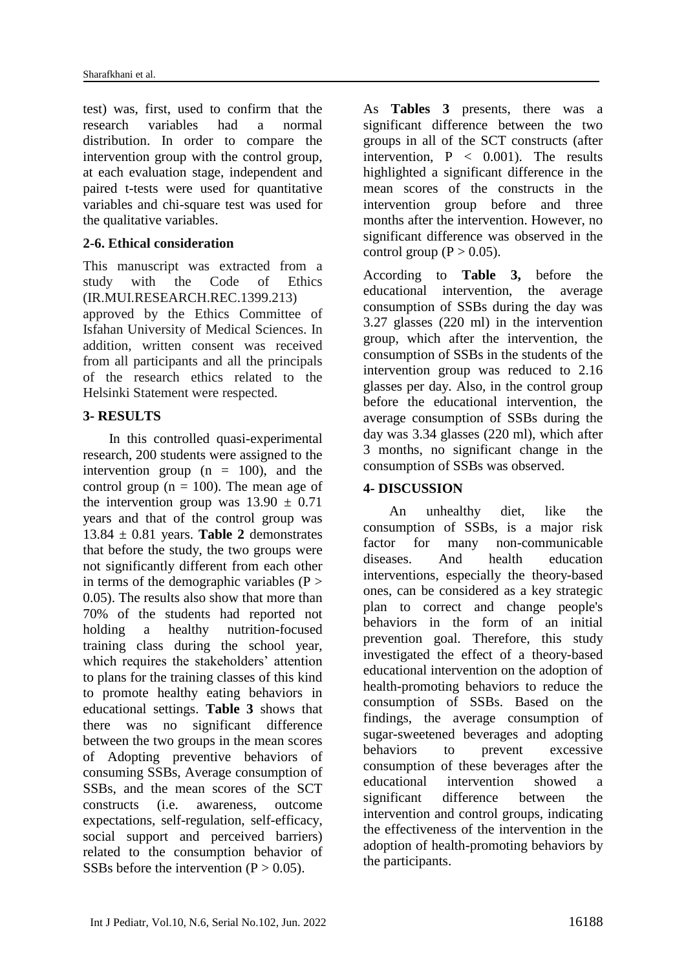test) was, first, used to confirm that the research variables had a normal distribution. In order to compare the intervention group with the control group, at each evaluation stage, independent and paired t-tests were used for quantitative variables and chi-square test was used for the qualitative variables.

### **2-6. Ethical consideration**

This manuscript was extracted from a study with the Code of Ethics (IR.MUI.RESEARCH.REC.1399.213) approved by the Ethics Committee of Isfahan University of Medical Sciences. In addition, written consent was received from all participants and all the principals of the research ethics related to the Helsinki Statement were respected.

### **3- RESULTS**

In this controlled quasi-experimental research, 200 students were assigned to the intervention group  $(n = 100)$ , and the control group ( $n = 100$ ). The mean age of the intervention group was  $13.90 \pm 0.71$ years and that of the control group was  $13.84 \pm 0.81$  years. **Table 2** demonstrates that before the study, the two groups were not significantly different from each other in terms of the demographic variables  $(P >$ 0.05). The results also show that more than 70% of the students had reported not holding a healthy nutrition-focused training class during the school year, which requires the stakeholders' attention to plans for the training classes of this kind to promote healthy eating behaviors in educational settings. **Table 3** shows that there was no significant difference between the two groups in the mean scores of Adopting preventive behaviors of consuming SSBs, Average consumption of SSBs, and the mean scores of the SCT constructs (i.e. awareness, outcome expectations, self-regulation, self-efficacy, social support and perceived barriers) related to the consumption behavior of SSBs before the intervention  $(P > 0.05)$ .

As **Tables 3** presents, there was a significant difference between the two groups in all of the SCT constructs (after intervention,  $P < 0.001$ ). The results highlighted a significant difference in the mean scores of the constructs in the intervention group before and three months after the intervention. However, no significant difference was observed in the control group ( $P > 0.05$ ).

According to **Table 3,** before the educational intervention, the average consumption of SSBs during the day was 3.27 glasses (220 ml) in the intervention group, which after the intervention, the consumption of SSBs in the students of the intervention group was reduced to 2.16 glasses per day. Also, in the control group before the educational intervention, the average consumption of SSBs during the day was 3.34 glasses (220 ml), which after 3 months, no significant change in the consumption of SSBs was observed.

## **4- DISCUSSION**

An unhealthy diet, like the consumption of SSBs, is a major risk factor for many non-communicable diseases. And health education interventions, especially the theory-based ones, can be considered as a key strategic plan to correct and change people's behaviors in the form of an initial prevention goal. Therefore, this study investigated the effect of a theory-based educational intervention on the adoption of health-promoting behaviors to reduce the consumption of SSBs. Based on the findings, the average consumption of sugar-sweetened beverages and adopting behaviors to prevent excessive consumption of these beverages after the educational intervention showed a significant difference between the intervention and control groups, indicating the effectiveness of the intervention in the adoption of health-promoting behaviors by the participants.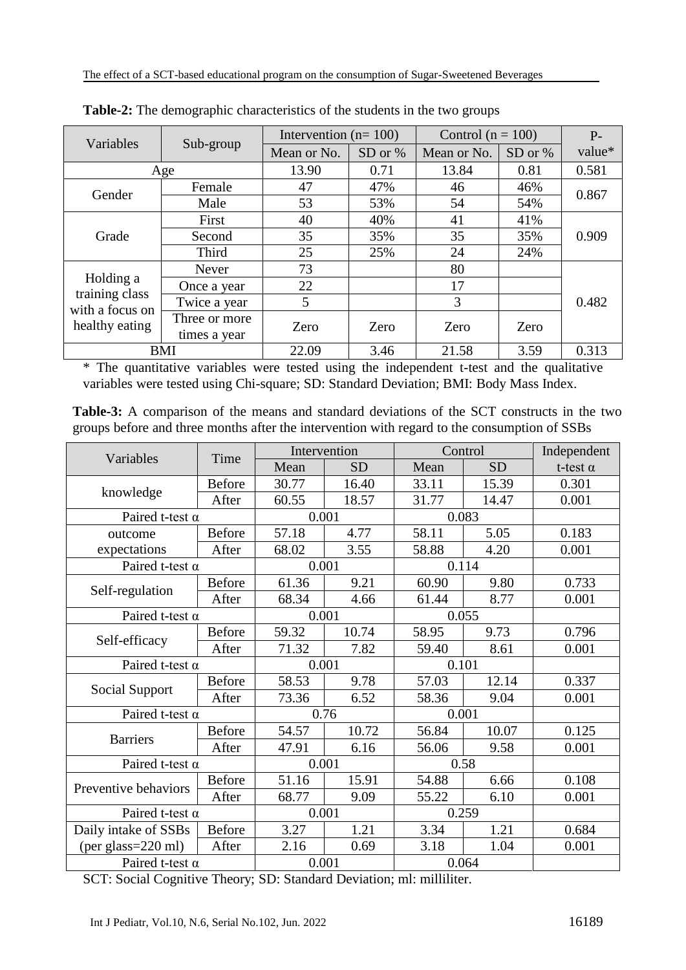| Variables                         | Sub-group                     | Intervention $(n=100)$ |           | Control ( $n = 100$ ) |         | $P-$   |  |
|-----------------------------------|-------------------------------|------------------------|-----------|-----------------------|---------|--------|--|
|                                   |                               | Mean or No.            | SD or $%$ | Mean or No.           | SD or % | value* |  |
| Age                               |                               | 13.90                  | 0.71      | 13.84                 | 0.81    | 0.581  |  |
| Gender                            | Female                        | 47                     | 47%       | 46                    | 46%     | 0.867  |  |
|                                   | Male                          | 53                     | 53%       | 54                    | 54%     |        |  |
|                                   | First                         | 40                     | 40%       | 41                    | 41%     | 0.909  |  |
| Grade                             | Second                        | 35                     | 35%       | 35                    | 35%     |        |  |
|                                   | Third                         | 25                     | 25%       | 24                    | 24%     |        |  |
|                                   | Never                         | 73                     |           | 80                    |         |        |  |
| Holding a                         | Once a year                   | 22                     |           | 17                    |         |        |  |
| training class<br>with a focus on | Twice a year                  | 5                      |           | 3                     |         | 0.482  |  |
| healthy eating                    | Three or more<br>times a year | Zero                   | Zero      | Zero                  | Zero    |        |  |
| <b>BMI</b>                        |                               | 22.09                  | 3.46      | 21.58                 | 3.59    | 0.313  |  |

**Table-2:** The demographic characteristics of the students in the two groups

\* The quantitative variables were tested using the independent t-test and the qualitative variables were tested using Chi-square; SD: Standard Deviation; BMI: Body Mass Index.

**Table-3:** A comparison of the means and standard deviations of the SCT constructs in the two groups before and three months after the intervention with regard to the consumption of SSBs

|                        | Time          | Intervention |           | Control |           | Independent     |
|------------------------|---------------|--------------|-----------|---------|-----------|-----------------|
| Variables              |               | Mean         | <b>SD</b> | Mean    | <b>SD</b> | t-test $\alpha$ |
|                        | <b>Before</b> | 30.77        | 16.40     | 33.11   | 15.39     | 0.301           |
| knowledge              | After         | 60.55        | 18.57     | 31.77   | 14.47     | 0.001           |
| Paired t-test $\alpha$ |               | 0.001        |           | 0.083   |           |                 |
| outcome                | <b>Before</b> | 57.18        | 4.77      | 58.11   | 5.05      | 0.183           |
| expectations           | After         | 68.02        | 3.55      | 58.88   | 4.20      | 0.001           |
| Paired t-test $\alpha$ |               | 0.001        |           | 0.114   |           |                 |
|                        | <b>Before</b> | 61.36        | 9.21      | 60.90   | 9.80      | 0.733           |
| Self-regulation        | After         | 68.34        | 4.66      | 61.44   | 8.77      | 0.001           |
| Paired t-test $\alpha$ |               | 0.001        |           | 0.055   |           |                 |
|                        | <b>Before</b> | 59.32        | 10.74     | 58.95   | 9.73      | 0.796           |
| Self-efficacy          | After         | 71.32        | 7.82      | 59.40   | 8.61      | 0.001           |
| Paired t-test $\alpha$ |               | 0.001        |           | 0.101   |           |                 |
|                        | <b>Before</b> | 58.53        | 9.78      | 57.03   | 12.14     | 0.337           |
| Social Support         | After         | 73.36        | 6.52      | 58.36   | 9.04      | 0.001           |
| Paired t-test $\alpha$ |               | 0.76         |           | 0.001   |           |                 |
| <b>Barriers</b>        | <b>Before</b> | 54.57        | 10.72     | 56.84   | 10.07     | 0.125           |
|                        | After         | 47.91        | 6.16      | 56.06   | 9.58      | 0.001           |
| Paired t-test $\alpha$ |               | 0.001        |           | 0.58    |           |                 |
| Preventive behaviors   | <b>Before</b> | 51.16        | 15.91     | 54.88   | 6.66      | 0.108           |
|                        | After         | 68.77        | 9.09      | 55.22   | 6.10      | 0.001           |
| Paired t-test $\alpha$ |               | 0.001        |           | 0.259   |           |                 |
| Daily intake of SSBs   | <b>Before</b> | 3.27         | 1.21      | 3.34    | 1.21      | 0.684           |
| (per glass=220 ml)     | After         | 2.16         | 0.69      | 3.18    | 1.04      | 0.001           |
| Paired t-test $\alpha$ |               | 0.001        |           | 0.064   |           |                 |

SCT: Social Cognitive Theory; SD: Standard Deviation; ml: milliliter.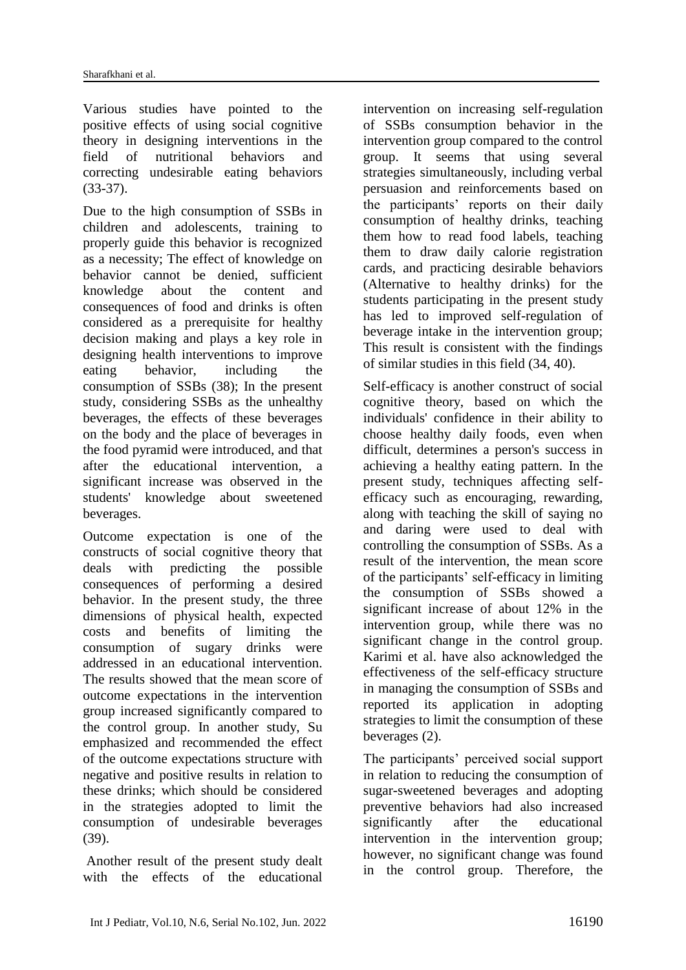Various studies have pointed to the positive effects of using social cognitive theory in designing interventions in the field of nutritional behaviors and correcting undesirable eating behaviors (33-37).

Due to the high consumption of SSBs in children and adolescents, training to properly guide this behavior is recognized as a necessity; The effect of knowledge on behavior cannot be denied, sufficient knowledge about the content and consequences of food and drinks is often considered as a prerequisite for healthy decision making and plays a key role in designing health interventions to improve eating behavior, including the consumption of SSBs (38); In the present study, considering SSBs as the unhealthy beverages, the effects of these beverages on the body and the place of beverages in the food pyramid were introduced, and that after the educational intervention, a significant increase was observed in the students' knowledge about sweetened beverages.

Outcome expectation is one of the constructs of social cognitive theory that deals with predicting the possible consequences of performing a desired behavior. In the present study, the three dimensions of physical health, expected costs and benefits of limiting the consumption of sugary drinks were addressed in an educational intervention. The results showed that the mean score of outcome expectations in the intervention group increased significantly compared to the control group. In another study, Su emphasized and recommended the effect of the outcome expectations structure with negative and positive results in relation to these drinks; which should be considered in the strategies adopted to limit the consumption of undesirable beverages (39).

Another result of the present study dealt with the effects of the educational

intervention on increasing self-regulation of SSBs consumption behavior in the intervention group compared to the control group. It seems that using several strategies simultaneously, including verbal persuasion and reinforcements based on the participants' reports on their daily consumption of healthy drinks, teaching them how to read food labels, teaching them to draw daily calorie registration cards, and practicing desirable behaviors (Alternative to healthy drinks) for the students participating in the present study has led to improved self-regulation of beverage intake in the intervention group; This result is consistent with the findings of similar studies in this field (34, 40).

Self-efficacy is another construct of social cognitive theory, based on which the individuals' confidence in their ability to choose healthy daily foods, even when difficult, determines a person's success in achieving a healthy eating pattern. In the present study, techniques affecting selfefficacy such as encouraging, rewarding, along with teaching the skill of saying no and daring were used to deal with controlling the consumption of SSBs. As a result of the intervention, the mean score of the participants' self-efficacy in limiting the consumption of SSBs showed a significant increase of about 12% in the intervention group, while there was no significant change in the control group. Karimi et al. have also acknowledged the effectiveness of the self-efficacy structure in managing the consumption of SSBs and reported its application in adopting strategies to limit the consumption of these beverages (2).

The participants' perceived social support in relation to reducing the consumption of sugar-sweetened beverages and adopting preventive behaviors had also increased significantly after the educational intervention in the intervention group; however, no significant change was found in the control group. Therefore, the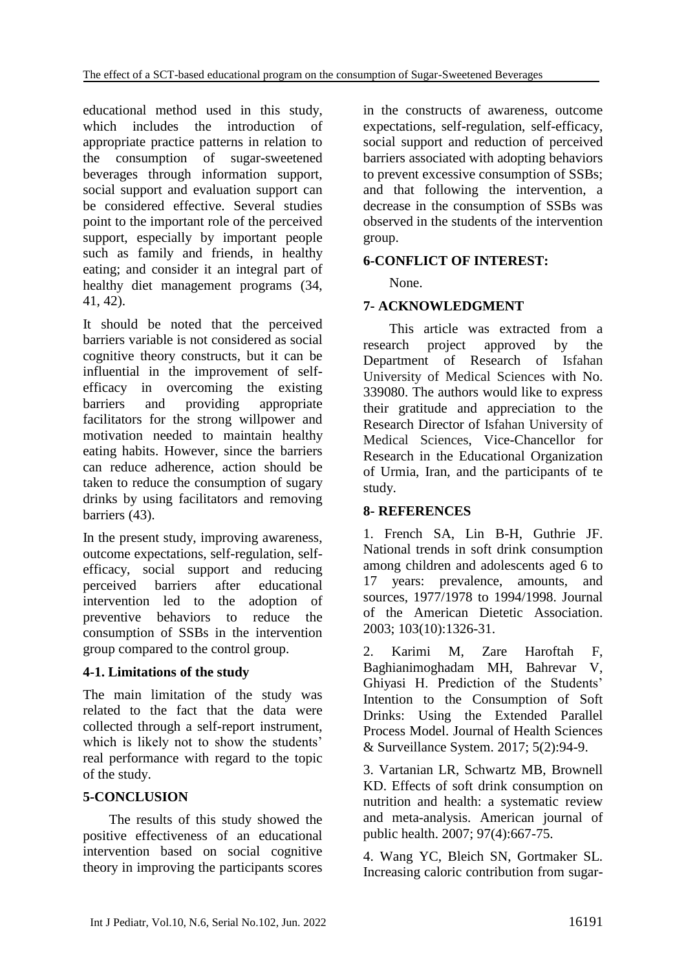educational method used in this study, which includes the introduction of appropriate practice patterns in relation to the consumption of sugar-sweetened beverages through information support, social support and evaluation support can be considered effective. Several studies point to the important role of the perceived support, especially by important people such as family and friends, in healthy eating; and consider it an integral part of healthy diet management programs (34, 41, 42).

It should be noted that the perceived barriers variable is not considered as social cognitive theory constructs, but it can be influential in the improvement of selfefficacy in overcoming the existing barriers and providing appropriate facilitators for the strong willpower and motivation needed to maintain healthy eating habits. However, since the barriers can reduce adherence, action should be taken to reduce the consumption of sugary drinks by using facilitators and removing barriers (43).

In the present study, improving awareness, outcome expectations, self-regulation, selfefficacy, social support and reducing perceived barriers after educational intervention led to the adoption of preventive behaviors to reduce the consumption of SSBs in the intervention group compared to the control group.

## **4-1. Limitations of the study**

The main limitation of the study was related to the fact that the data were collected through a self-report instrument, which is likely not to show the students' real performance with regard to the topic of the study.

## **5-CONCLUSION**

The results of this study showed the positive effectiveness of an educational intervention based on social cognitive theory in improving the participants scores

in the constructs of awareness, outcome expectations, self-regulation, self-efficacy, social support and reduction of perceived barriers associated with adopting behaviors to prevent excessive consumption of SSBs; and that following the intervention, a decrease in the consumption of SSBs was observed in the students of the intervention group.

## **6-CONFLICT OF INTEREST:**

None.

## **7- ACKNOWLEDGMENT**

This article was extracted from a research project approved by the Department of Research of Isfahan University of Medical Sciences with No. 339080. The authors would like to express their gratitude and appreciation to the Research Director of Isfahan University of Medical Sciences, Vice-Chancellor for Research in the Educational Organization of Urmia, Iran, and the participants of te study.

## **8- REFERENCES**

1. French SA, Lin B-H, Guthrie JF. National trends in soft drink consumption among children and adolescents aged 6 to 17 years: prevalence, amounts, and sources, 1977/1978 to 1994/1998. Journal of the American Dietetic Association. 2003; 103(10):1326-31.

2. Karimi M, Zare Haroftah F, Baghianimoghadam MH, Bahrevar V, Ghiyasi H. Prediction of the Students' Intention to the Consumption of Soft Drinks: Using the Extended Parallel Process Model. Journal of Health Sciences & Surveillance System. 2017; 5(2):94-9.

3. Vartanian LR, Schwartz MB, Brownell KD. Effects of soft drink consumption on nutrition and health: a systematic review and meta-analysis. American journal of public health. 2007; 97(4):667-75.

4. Wang YC, Bleich SN, Gortmaker SL. Increasing caloric contribution from sugar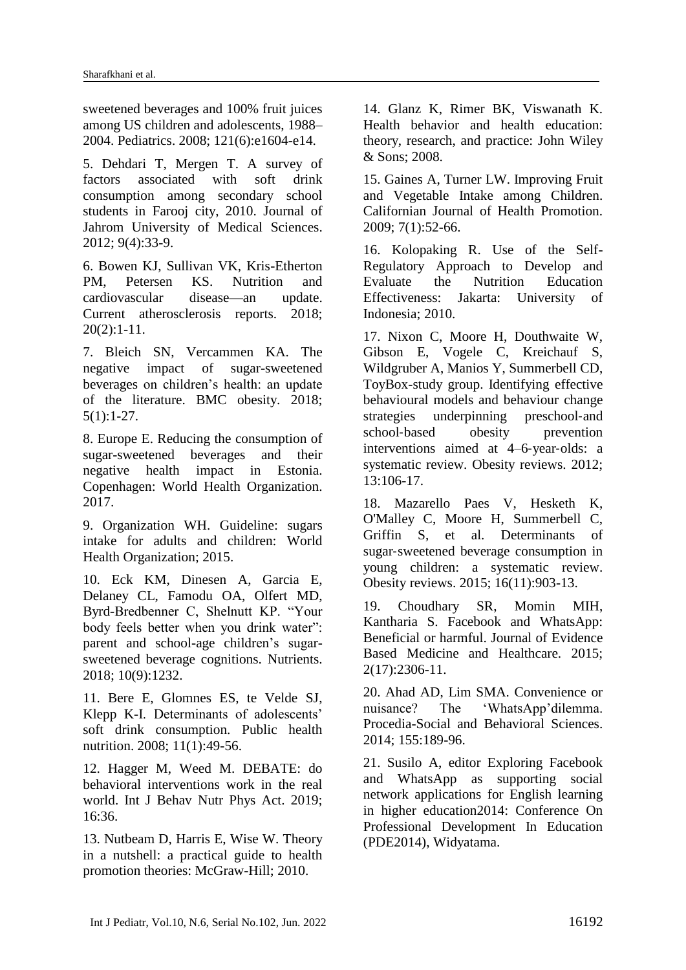sweetened beverages and 100% fruit juices among US children and adolescents, 1988– 2004. Pediatrics. 2008; 121(6):e1604-e14.

5. Dehdari T, Mergen T. A survey of factors associated with soft drink consumption among secondary school students in Farooj city, 2010. Journal of Jahrom University of Medical Sciences. 2012; 9(4):33-9.

6. Bowen KJ, Sullivan VK, Kris-Etherton PM, Petersen KS. Nutrition and cardiovascular disease—an update. Current atherosclerosis reports. 2018;  $20(2):1-11.$ 

7. Bleich SN, Vercammen KA. The negative impact of sugar-sweetened beverages on children's health: an update of the literature. BMC obesity. 2018; 5(1):1-27.

8. Europe E. Reducing the consumption of sugar-sweetened beverages and their negative health impact in Estonia. Copenhagen: World Health Organization. 2017.

9. Organization WH. Guideline: sugars intake for adults and children: World Health Organization; 2015.

10. Eck KM, Dinesen A, Garcia E, Delaney CL, Famodu OA, Olfert MD, Byrd-Bredbenner C, Shelnutt KP. "Your body feels better when you drink water": parent and school-age children's sugarsweetened beverage cognitions. Nutrients. 2018; 10(9):1232.

11. Bere E, Glomnes ES, te Velde SJ, Klepp K-I. Determinants of adolescents' soft drink consumption. Public health nutrition. 2008; 11(1):49-56.

12. Hagger M, Weed M. DEBATE: do behavioral interventions work in the real world. Int J Behav Nutr Phys Act. 2019;  $16.36$ 

13. Nutbeam D, Harris E, Wise W. Theory in a nutshell: a practical guide to health promotion theories: McGraw-Hill; 2010.

14. Glanz K, Rimer BK, Viswanath K. Health behavior and health education: theory, research, and practice: John Wiley & Sons; 2008.

15. Gaines A, Turner LW. Improving Fruit and Vegetable Intake among Children. Californian Journal of Health Promotion. 2009; 7(1):52-66.

16. Kolopaking R. Use of the Self-Regulatory Approach to Develop and Evaluate the Nutrition Education Effectiveness: Jakarta: University of Indonesia; 2010.

17. Nixon C, Moore H, Douthwaite W, Gibson E, Vogele C, Kreichauf S, Wildgruber A, Manios Y, Summerbell CD, ToyBox-study group. Identifying effective behavioural models and behaviour change strategies underpinning preschool-and school-based obesity prevention interventions aimed at 4–6‐year‐olds: a systematic review. Obesity reviews. 2012; 13:106-17.

18. Mazarello Paes V, Hesketh K, O'Malley C, Moore H, Summerbell C, Griffin S, et al. Determinants of sugar‐sweetened beverage consumption in young children: a systematic review. Obesity reviews. 2015; 16(11):903-13.

19. Choudhary SR, Momin MIH, Kantharia S. Facebook and WhatsApp: Beneficial or harmful. Journal of Evidence Based Medicine and Healthcare. 2015; 2(17):2306-11.

20. Ahad AD, Lim SMA. Convenience or nuisance? The 'WhatsApp'dilemma. Procedia-Social and Behavioral Sciences. 2014; 155:189-96.

21. Susilo A, editor Exploring Facebook and WhatsApp as supporting social network applications for English learning in higher education2014: Conference On Professional Development In Education (PDE2014), Widyatama.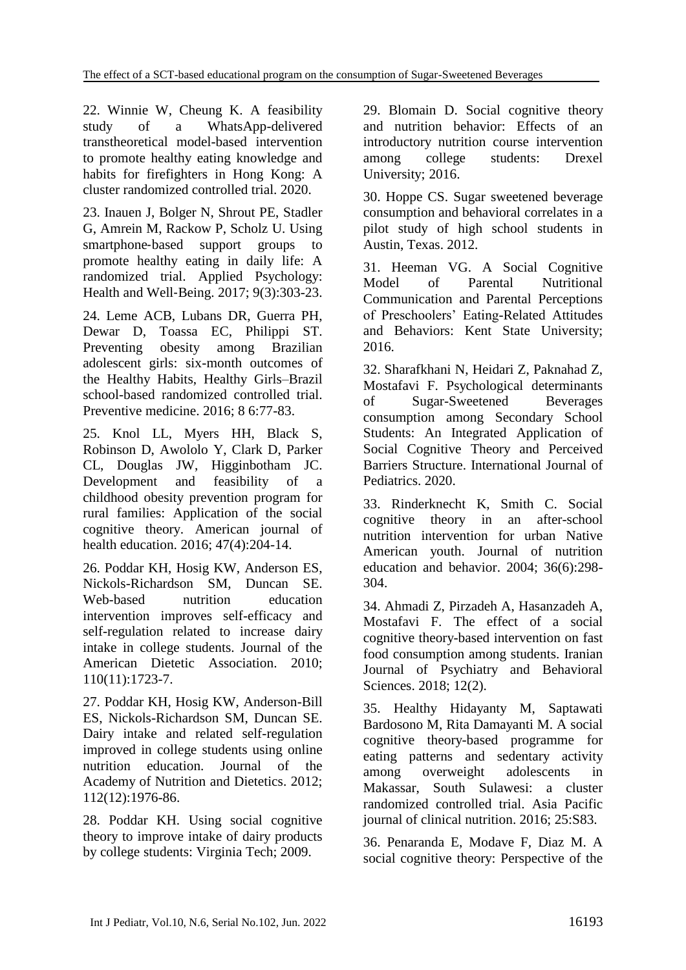22. Winnie W, Cheung K. A feasibility study of a WhatsApp-delivered transtheoretical model-based intervention to promote healthy eating knowledge and habits for firefighters in Hong Kong: A cluster randomized controlled trial. 2020.

23. Inauen J, Bolger N, Shrout PE, Stadler G, Amrein M, Rackow P, Scholz U. Using smartphone-based support groups to promote healthy eating in daily life: A randomized trial. Applied Psychology: Health and Well‐Being. 2017; 9(3):303-23.

24. Leme ACB, Lubans DR, Guerra PH, Dewar D, Toassa EC, Philippi ST. Preventing obesity among Brazilian adolescent girls: six-month outcomes of the Healthy Habits, Healthy Girls–Brazil school-based randomized controlled trial. Preventive medicine. 2016; 8 6:77-83.

25. Knol LL, Myers HH, Black S, Robinson D, Awololo Y, Clark D, Parker CL, Douglas JW, Higginbotham JC. Development and feasibility of a childhood obesity prevention program for rural families: Application of the social cognitive theory. American journal of health education. 2016; 47(4):204-14.

26. Poddar KH, Hosig KW, Anderson ES, Nickols-Richardson SM, Duncan SE. Web-based nutrition education intervention improves self-efficacy and self-regulation related to increase dairy intake in college students. Journal of the American Dietetic Association. 2010; 110(11):1723-7.

27. Poddar KH, Hosig KW, Anderson-Bill ES, Nickols-Richardson SM, Duncan SE. Dairy intake and related self-regulation improved in college students using online nutrition education. Journal of the Academy of Nutrition and Dietetics. 2012; 112(12):1976-86.

28. Poddar KH. Using social cognitive theory to improve intake of dairy products by college students: Virginia Tech; 2009.

29. Blomain D. Social cognitive theory and nutrition behavior: Effects of an introductory nutrition course intervention among college students: Drexel University; 2016.

30. Hoppe CS. Sugar sweetened beverage consumption and behavioral correlates in a pilot study of high school students in Austin, Texas. 2012.

31. Heeman VG. A Social Cognitive Model of Parental Nutritional Communication and Parental Perceptions of Preschoolers' Eating-Related Attitudes and Behaviors: Kent State University; 2016.

32. Sharafkhani N, Heidari Z, Paknahad Z, Mostafavi F. Psychological determinants of Sugar-Sweetened Beverages consumption among Secondary School Students: An Integrated Application of Social Cognitive Theory and Perceived Barriers Structure. International Journal of Pediatrics. 2020.

33. Rinderknecht K, Smith C. Social cognitive theory in an after-school nutrition intervention for urban Native American youth. Journal of nutrition education and behavior. 2004; 36(6):298- 304.

34. Ahmadi Z, Pirzadeh A, Hasanzadeh A, Mostafavi F. The effect of a social cognitive theory-based intervention on fast food consumption among students. Iranian Journal of Psychiatry and Behavioral Sciences. 2018; 12(2).

35. Healthy Hidayanty M, Saptawati Bardosono M, Rita Damayanti M. A social cognitive theory-based programme for eating patterns and sedentary activity among overweight adolescents in Makassar, South Sulawesi: a cluster randomized controlled trial. Asia Pacific journal of clinical nutrition. 2016; 25:S83.

36. Penaranda E, Modave F, Diaz M. A social cognitive theory: Perspective of the